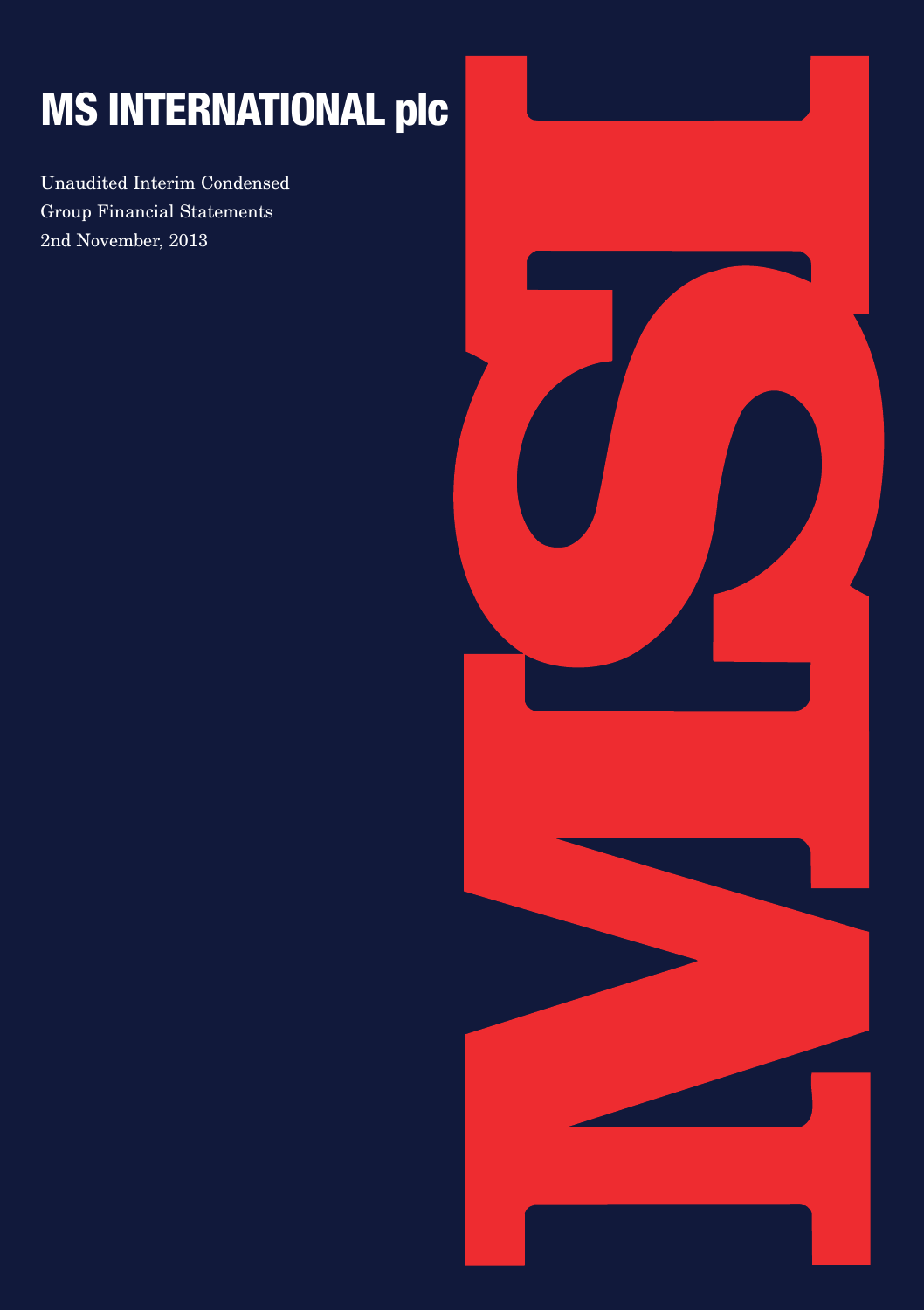# **MS INTERNATIONAL plc**

Unaudited Interim Condensed Group Financial Statements 2nd November, 2013

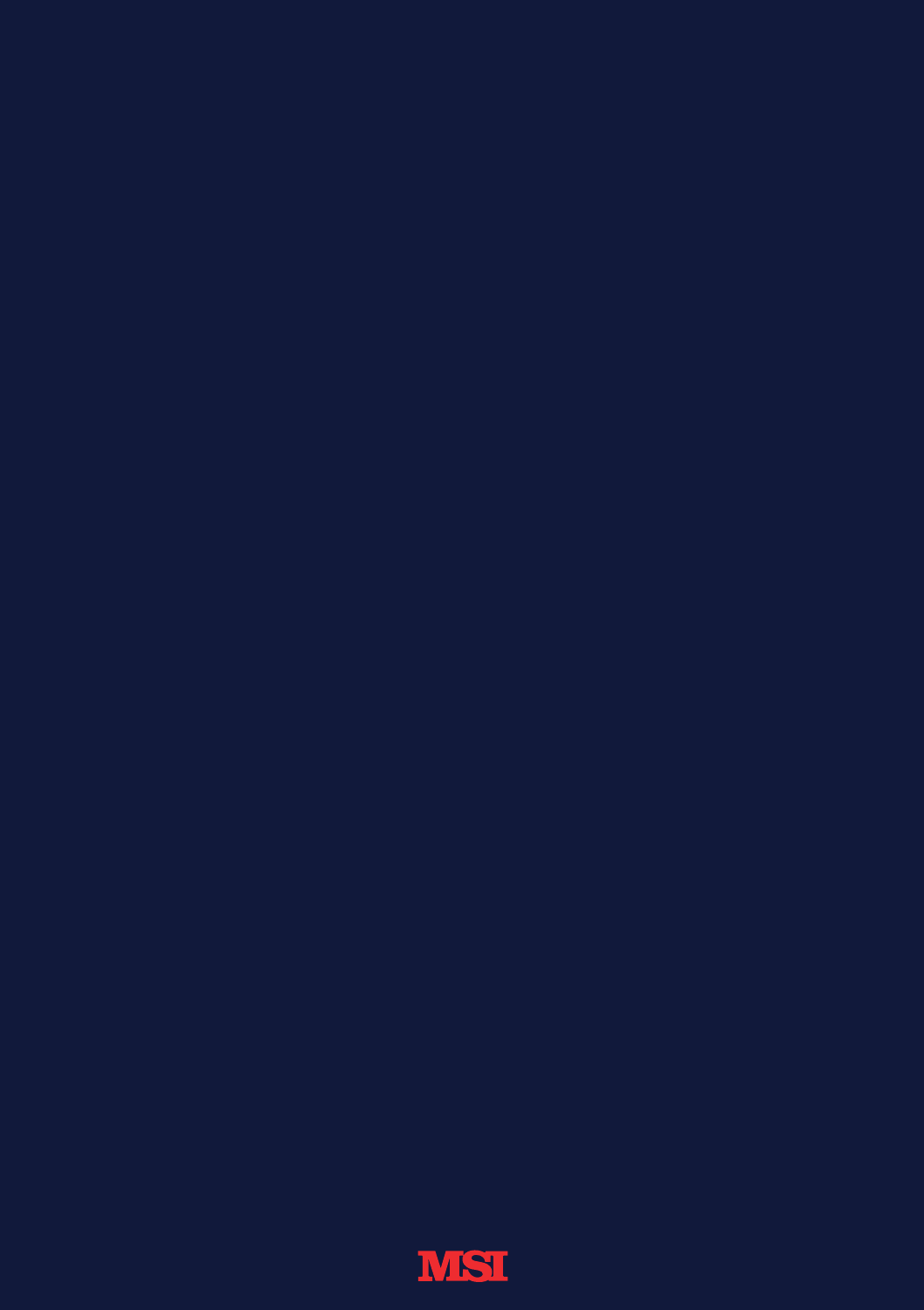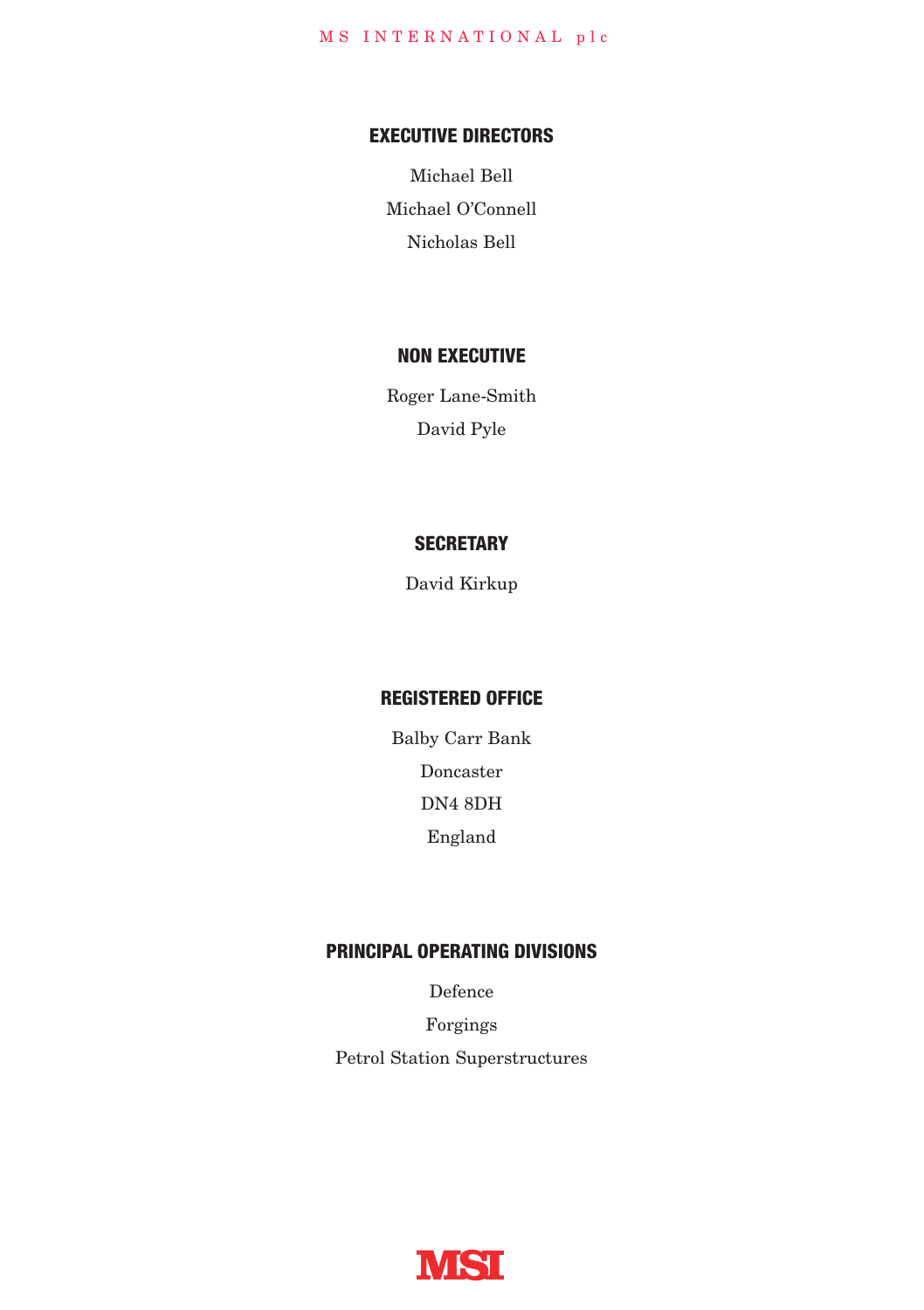### **EXECUTIVE DIRECTORS**

Michael Bell Michael O'Connell Nicholas Bell

### **NON EXECUTIVE**

Roger Lane-Smith David Pyle

### **SECRETARY**

David Kirkup

### **REGISTERED OFFICE**

Balby Carr Bank Doncaster DN4 8DH England

### **PRINCIPAL OPERATING DIVISIONS**

Defence

Forgings Petrol Station Superstructures

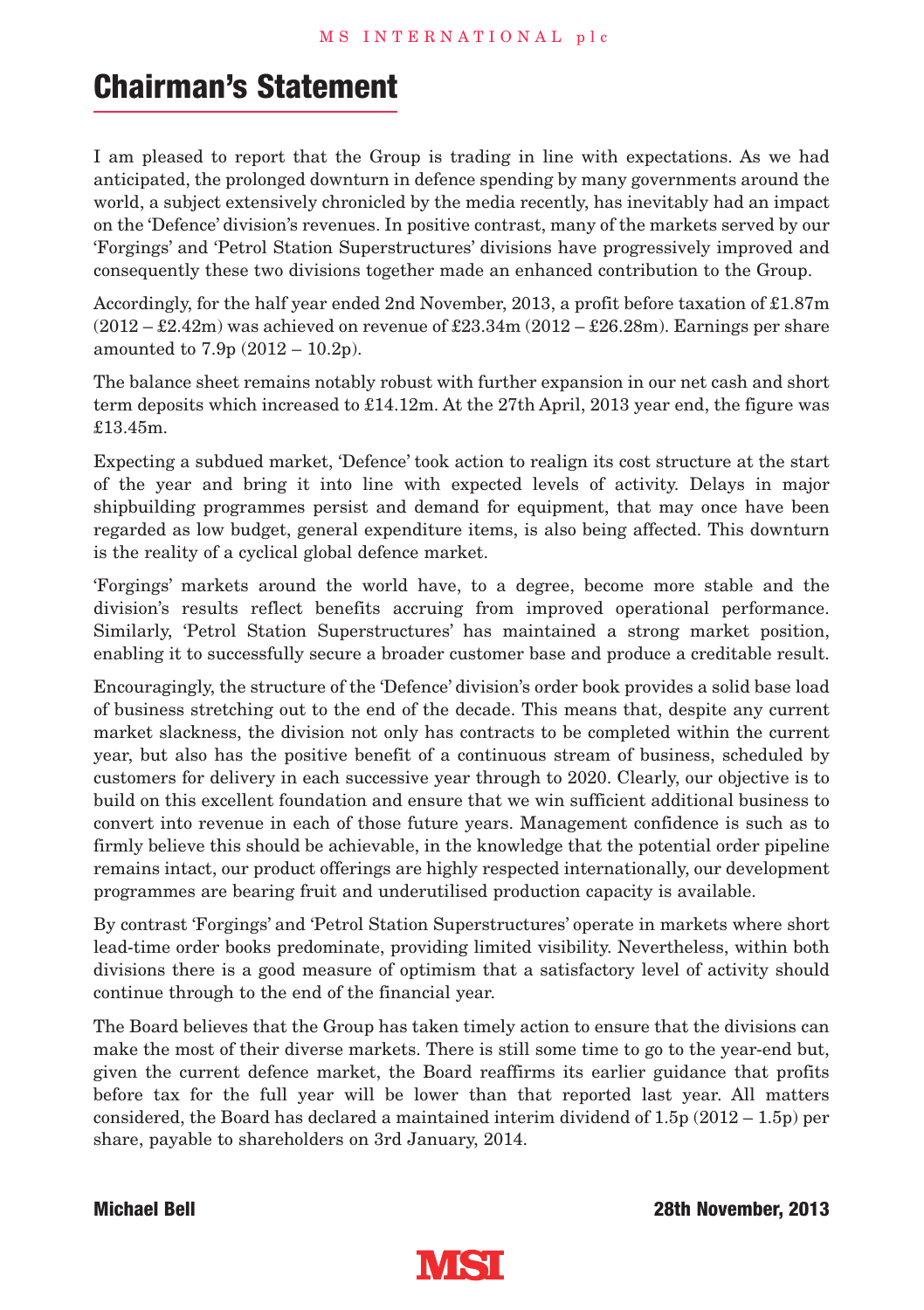## **Chairman's Statement**

I am pleased to report that the Group is trading in line with expectations. As we had anticipated, the prolonged downturn in defence spending by many governments around the world, a subject extensively chronicled by the media recently, has inevitably had an impact on the 'Defence' division's revenues. In positive contrast, many of the markets served by our 'Forgings' and 'Petrol Station Superstructures' divisions have progressively improved and consequently these two divisions together made an enhanced contribution to the Group.

Accordingly, for the half year ended 2nd November, 2013, a profit before taxation of £1.87m  $(2012 - \text{\textsterling}2.42m)$  was achieved on revenue of  $\text{\textsterling}23.34m (2012 - \text{\textsterling}26.28m)$ . Earnings per share amounted to 7.9p (2012 – 10.2p).

The balance sheet remains notably robust with further expansion in our net cash and short term deposits which increased to £14.12m. At the 27th April, 2013 year end, the figure was £13.45m.

Expecting a subdued market, 'Defence' took action to realign its cost structure at the start of the year and bring it into line with expected levels of activity. Delays in major shipbuilding programmes persist and demand for equipment, that may once have been regarded as low budget, general expenditure items, is also being affected. This downturn is the reality of a cyclical global defence market.

'Forgings' markets around the world have, to a degree, become more stable and the division's results reflect benefits accruing from improved operational performance. Similarly, 'Petrol Station Superstructures' has maintained a strong market position, enabling it to successfully secure a broader customer base and produce a creditable result.

Encouragingly, the structure of the 'Defence' division's order book provides a solid base load of business stretching out to the end of the decade. This means that, despite any current market slackness, the division not only has contracts to be completed within the current year, but also has the positive benefit of a continuous stream of business, scheduled by customers for delivery in each successive year through to 2020. Clearly, our objective is to build on this excellent foundation and ensure that we win sufficient additional business to convert into revenue in each of those future years. Management confidence is such as to firmly believe this should be achievable, in the knowledge that the potential order pipeline remains intact, our product offerings are highly respected internationally, our development programmes are bearing fruit and underutilised production capacity is available.

By contrast 'Forgings' and 'Petrol Station Superstructures' operate in markets where short lead-time order books predominate, providing limited visibility. Nevertheless, within both divisions there is a good measure of optimism that a satisfactory level of activity should continue through to the end of the financial year.

The Board believes that the Group has taken timely action to ensure that the divisions can make the most of their diverse markets. There is still some time to go to the year-end but, given the current defence market, the Board reaffirms its earlier guidance that profits before tax for the full year will be lower than that reported last year. All matters considered, the Board has declared a maintained interim dividend of  $1.5p(2012 - 1.5p)$  per share, payable to shareholders on 3rd January, 2014.

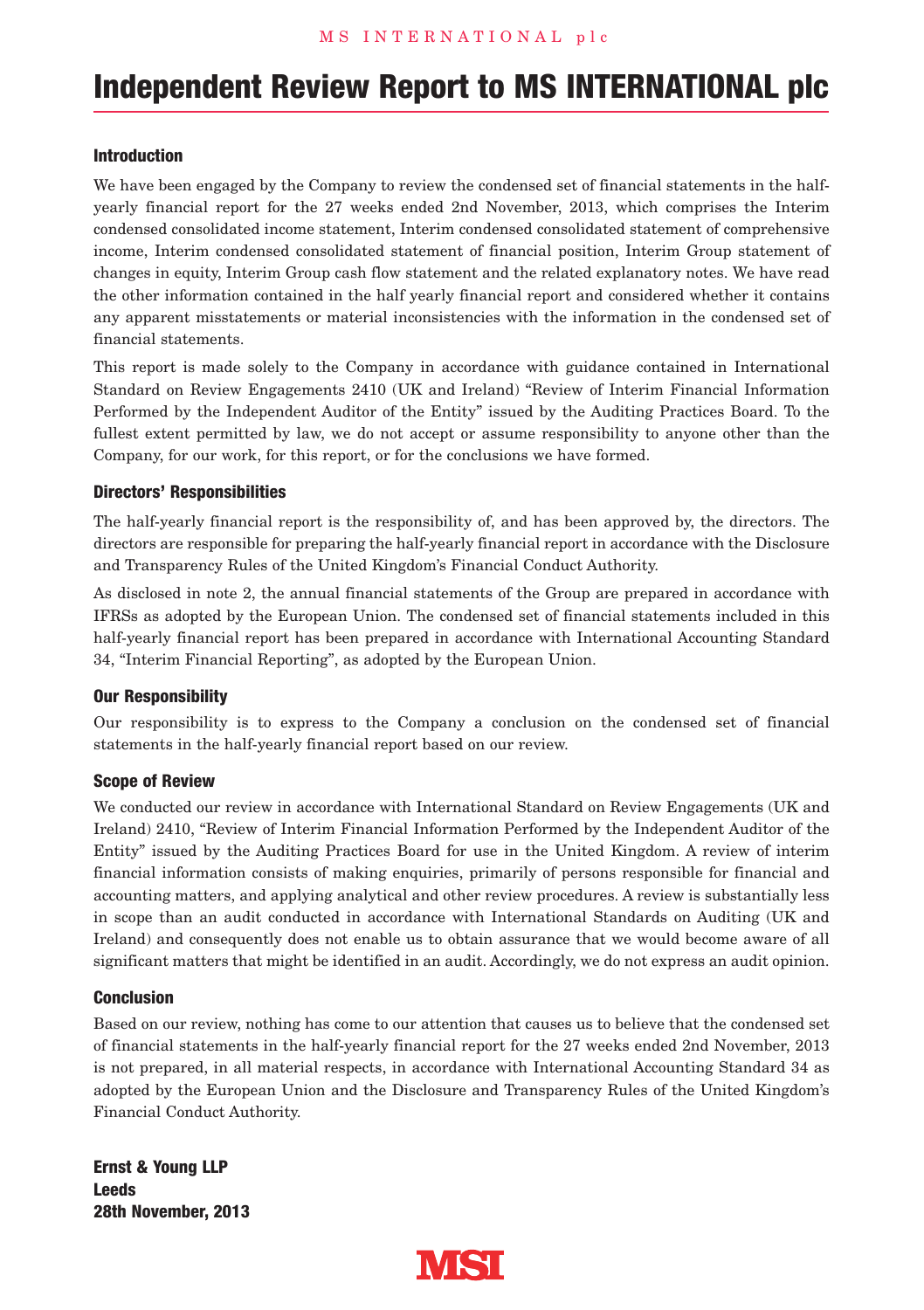## **Independent Review Report to MS INTERNATIONAL plc**

#### **Introduction**

We have been engaged by the Company to review the condensed set of financial statements in the halfyearly financial report for the 27 weeks ended 2nd November, 2013, which comprises the Interim condensed consolidated income statement, Interim condensed consolidated statement of comprehensive income, Interim condensed consolidated statement of financial position, Interim Group statement of changes in equity, Interim Group cash flow statement and the related explanatory notes. We have read the other information contained in the half yearly financial report and considered whether it contains any apparent misstatements or material inconsistencies with the information in the condensed set of financial statements.

This report is made solely to the Company in accordance with guidance contained in International Standard on Review Engagements 2410 (UK and Ireland) "Review of Interim Financial Information Performed by the Independent Auditor of the Entity" issued by the Auditing Practices Board. To the fullest extent permitted by law, we do not accept or assume responsibility to anyone other than the Company, for our work, for this report, or for the conclusions we have formed.

#### **Directors' Responsibilities**

The half-yearly financial report is the responsibility of, and has been approved by, the directors. The directors are responsible for preparing the half-yearly financial report in accordance with the Disclosure and Transparency Rules of the United Kingdom's Financial Conduct Authority.

As disclosed in note 2, the annual financial statements of the Group are prepared in accordance with IFRSs as adopted by the European Union. The condensed set of financial statements included in this half-yearly financial report has been prepared in accordance with International Accounting Standard 34, "Interim Financial Reporting", as adopted by the European Union.

#### **Our Responsibility**

Our responsibility is to express to the Company a conclusion on the condensed set of financial statements in the half-yearly financial report based on our review.

#### **Scope of Review**

We conducted our review in accordance with International Standard on Review Engagements (UK and Ireland) 2410, "Review of Interim Financial Information Performed by the Independent Auditor of the Entity" issued by the Auditing Practices Board for use in the United Kingdom. A review of interim financial information consists of making enquiries, primarily of persons responsible for financial and accounting matters, and applying analytical and other review procedures. A review is substantially less in scope than an audit conducted in accordance with International Standards on Auditing (UK and Ireland) and consequently does not enable us to obtain assurance that we would become aware of all significant matters that might be identified in an audit. Accordingly, we do not express an audit opinion.

#### **Conclusion**

Based on our review, nothing has come to our attention that causes us to believe that the condensed set of financial statements in the half-yearly financial report for the 27 weeks ended 2nd November, 2013 is not prepared, in all material respects, in accordance with International Accounting Standard 34 as adopted by the European Union and the Disclosure and Transparency Rules of the United Kingdom's Financial Conduct Authority.

**Ernst & Young LLP Leeds 28th November, 2013**

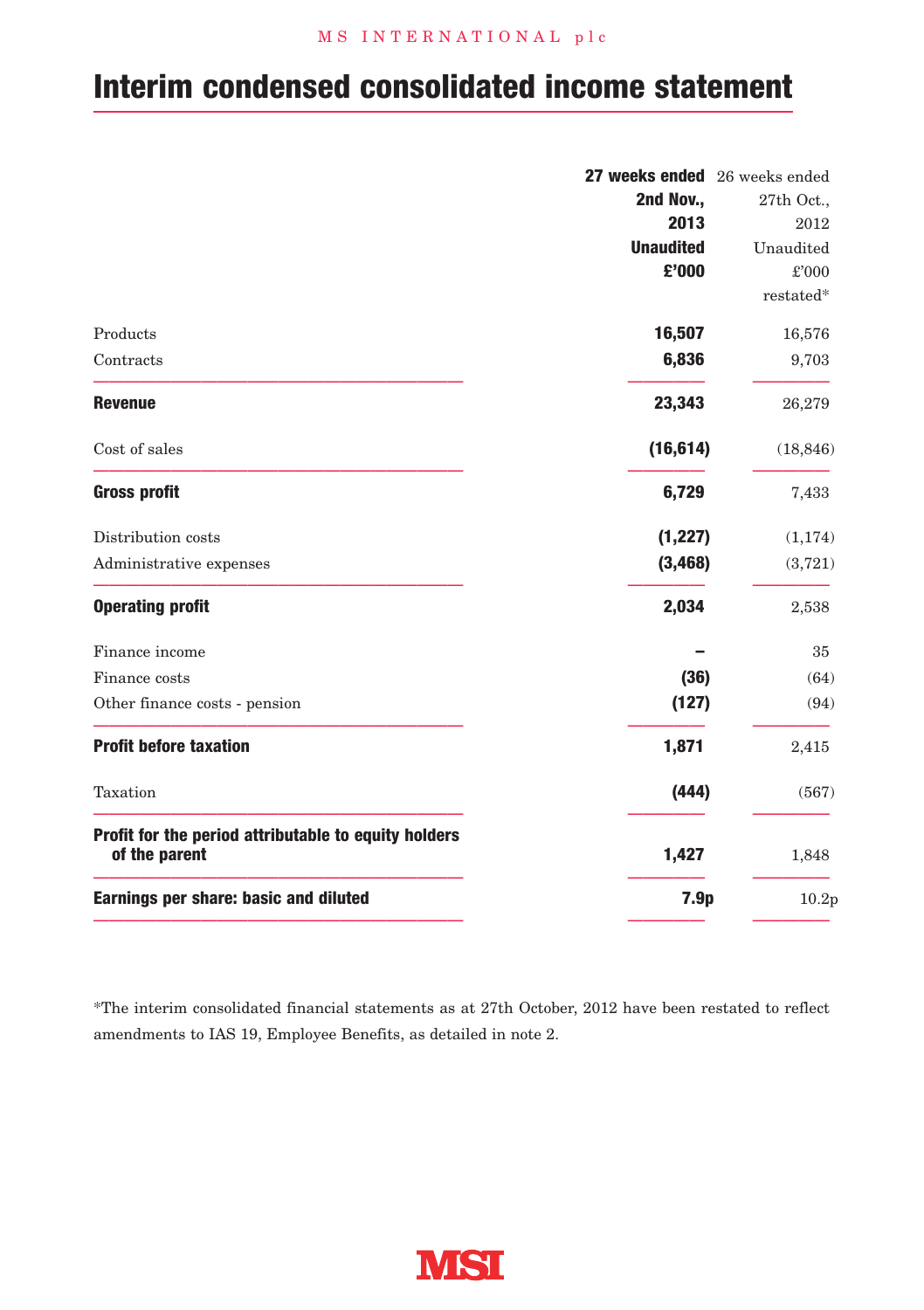### M S I N T E R N A T I O N A L p l c

## **Interim condensed consolidated income statement**

|                                                                                | 27 weeks ended 26 weeks ended |
|--------------------------------------------------------------------------------|-------------------------------|
| 2nd Nov.,                                                                      | 27th Oct.,                    |
| 2013                                                                           | 2012                          |
| <b>Unaudited</b>                                                               | Unaudited                     |
| £'000                                                                          | £'000                         |
|                                                                                | restated*                     |
| 16,507<br>Products                                                             | 16,576                        |
| 6,836<br>Contracts                                                             | 9,703                         |
| 23,343<br><b>Revenue</b>                                                       | 26,279                        |
| (16, 614)<br>Cost of sales                                                     | (18, 846)                     |
| <b>Gross profit</b><br>6,729                                                   | 7,433                         |
| (1, 227)<br>Distribution costs                                                 | (1, 174)                      |
| (3, 468)<br>Administrative expenses                                            | (3,721)                       |
| 2,034<br><b>Operating profit</b>                                               | 2,538                         |
| Finance income                                                                 | 35                            |
| (36)<br>Finance costs                                                          | (64)                          |
| (127)<br>Other finance costs - pension                                         | (94)                          |
| <b>Profit before taxation</b><br>1,871                                         | 2,415                         |
| Taxation<br>(444)                                                              | (567)                         |
| Profit for the period attributable to equity holders<br>of the parent<br>1,427 | 1,848                         |
| Earnings per share: basic and diluted<br>7.9p                                  | 10.2p                         |

\*The interim consolidated financial statements as at 27th October, 2012 have been restated to reflect amendments to IAS 19, Employee Benefits, as detailed in note 2.

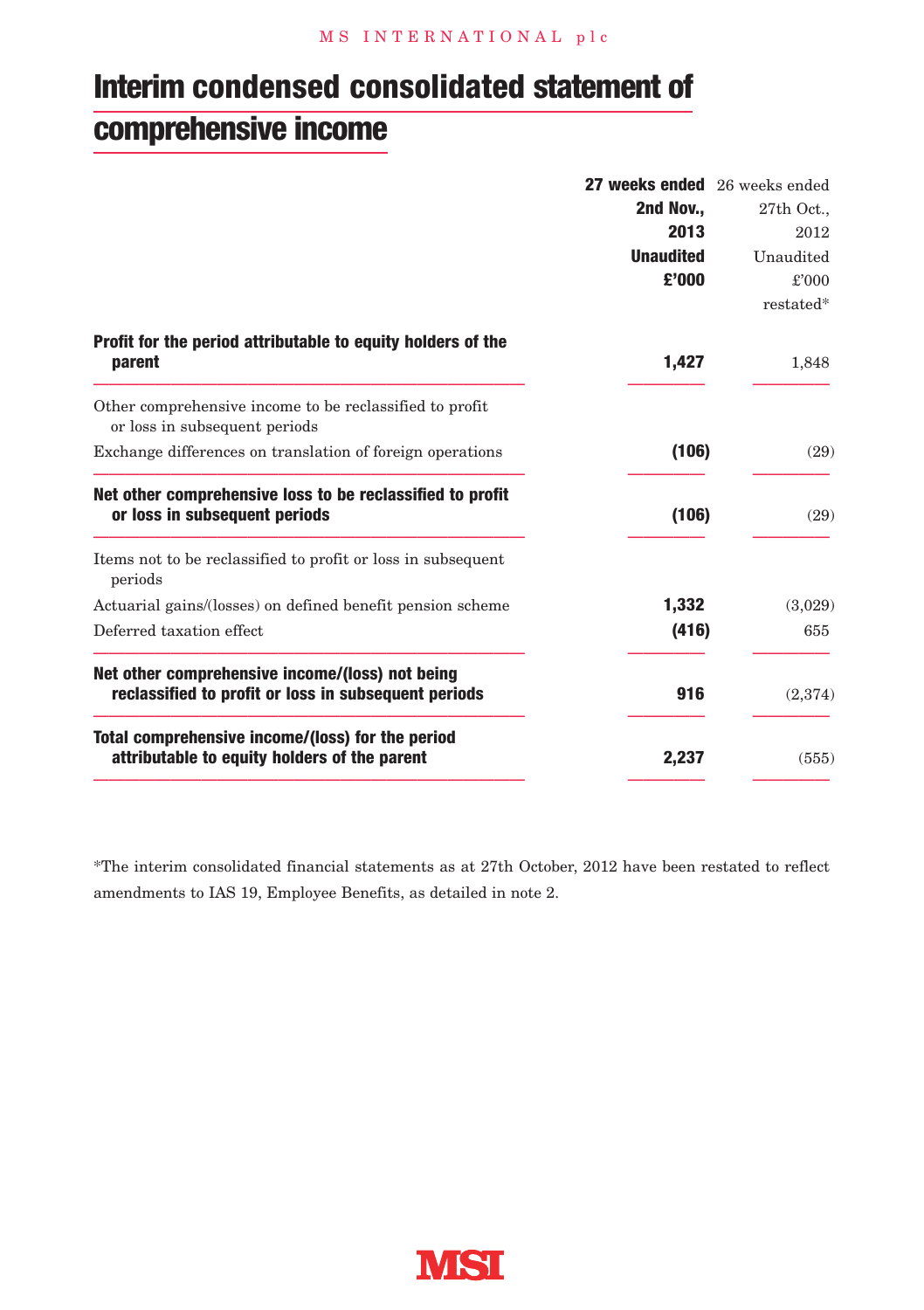## **Interim condensed consolidated statement of comprehensive income**

|                                                                                                         | 27 weeks ended 26 weeks ended |            |
|---------------------------------------------------------------------------------------------------------|-------------------------------|------------|
|                                                                                                         | 2nd Nov.,                     | 27th Oct., |
|                                                                                                         | 2013                          | 2012       |
|                                                                                                         | <b>Unaudited</b>              | Unaudited  |
|                                                                                                         | £'000                         | £'000      |
|                                                                                                         |                               | restated*  |
| Profit for the period attributable to equity holders of the<br>parent                                   | 1,427                         | 1,848      |
| Other comprehensive income to be reclassified to profit<br>or loss in subsequent periods                |                               |            |
| Exchange differences on translation of foreign operations                                               | (106)                         | (29)       |
| Net other comprehensive loss to be reclassified to profit<br>or loss in subsequent periods              | (106)                         | (29)       |
| Items not to be reclassified to profit or loss in subsequent<br>periods                                 |                               |            |
| Actuarial gains/(losses) on defined benefit pension scheme                                              | 1,332                         | (3,029)    |
| Deferred taxation effect                                                                                | (416)                         | 655        |
| Net other comprehensive income/(loss) not being<br>reclassified to profit or loss in subsequent periods | 916                           | (2,374)    |
| Total comprehensive income/(loss) for the period<br>attributable to equity holders of the parent        | 2,237                         | (555)      |

\*The interim consolidated financial statements as at 27th October, 2012 have been restated to reflect amendments to IAS 19, Employee Benefits, as detailed in note 2.

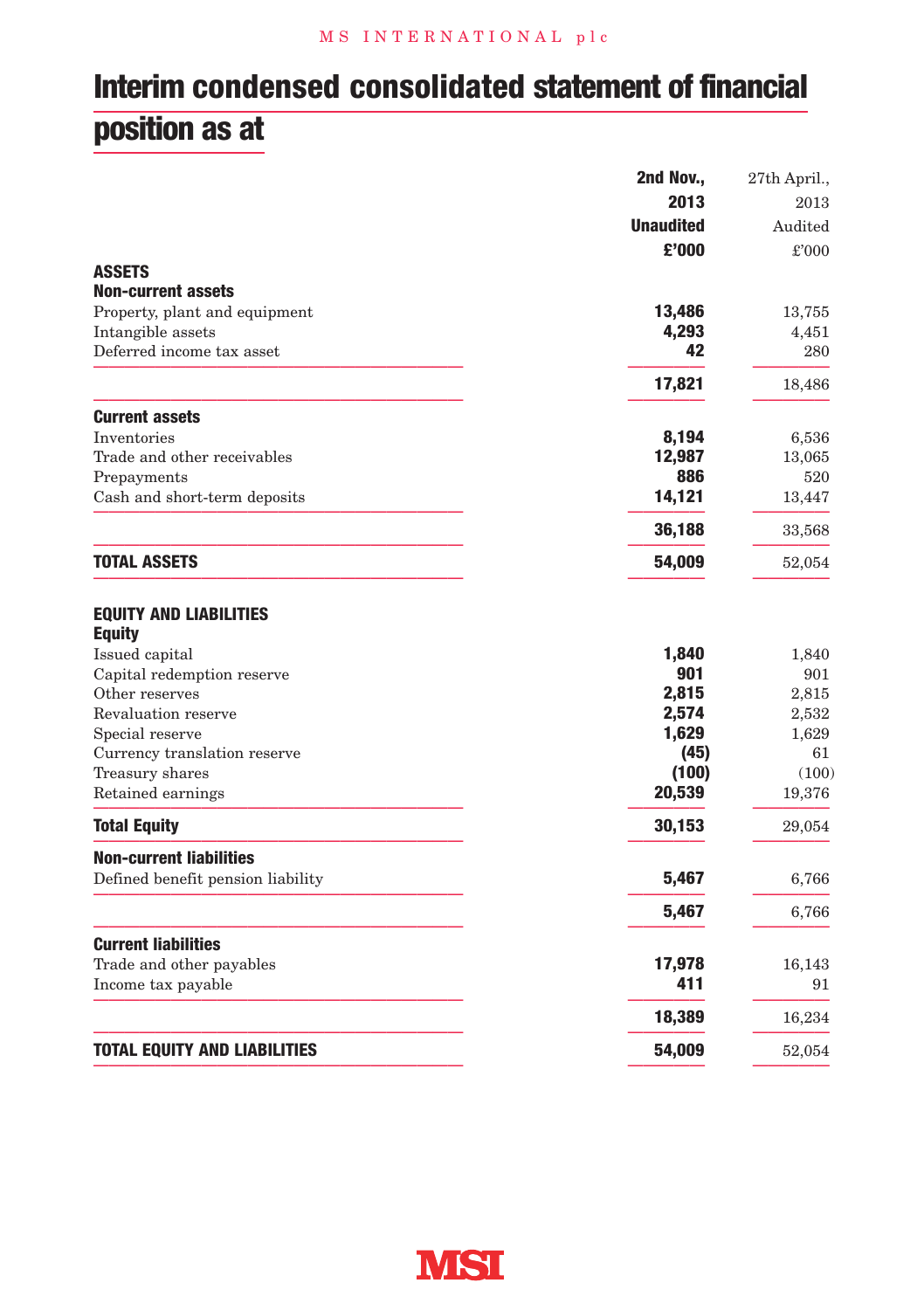## **Interim condensed consolidated statement of financial position as at**

|                                                | 2nd Nov.,        | 27th April., |
|------------------------------------------------|------------------|--------------|
|                                                | 2013             | 2013         |
|                                                | <b>Unaudited</b> | Audited      |
|                                                | £'000            | £'000        |
| <b>ASSETS</b>                                  |                  |              |
| <b>Non-current assets</b>                      |                  |              |
| Property, plant and equipment                  | 13,486           | 13,755       |
| Intangible assets                              | 4,293            | 4,451        |
| Deferred income tax asset                      | 42               | 280          |
|                                                | 17,821           | 18,486       |
| <b>Current assets</b>                          |                  |              |
| Inventories                                    | 8,194            | 6,536        |
| Trade and other receivables                    | 12,987           | 13,065       |
| Prepayments                                    | 886              | 520          |
| Cash and short-term deposits                   | 14,121           | 13,447       |
|                                                | 36,188           | 33,568       |
| <b>TOTAL ASSETS</b>                            | 54,009           | 52,054       |
| <b>EQUITY AND LIABILITIES</b><br><b>Equity</b> |                  |              |
| Issued capital                                 | 1,840            | 1,840        |
| Capital redemption reserve                     | 901              | 901          |
| Other reserves                                 | 2,815            | 2,815        |
| Revaluation reserve                            | 2,574            | 2,532        |
| Special reserve                                | 1,629            | 1,629        |
| Currency translation reserve                   | (45)             | 61           |
| Treasury shares                                | (100)            | (100)        |
| Retained earnings                              | 20,539           | 19,376       |
| <b>Total Equity</b>                            | 30,153           | 29,054       |
| <b>Non-current liabilities</b>                 |                  |              |
| Defined benefit pension liability              | 5,467            | 6,766        |
|                                                | 5,467            | 6,766        |
| <b>Current liabilities</b>                     |                  |              |
| Trade and other payables                       | 17,978           | 16,143       |
| Income tax payable                             | 411              | 91           |
|                                                | 18,389           | 16,234       |
| <b>TOTAL EQUITY AND LIABILITIES</b>            | 54,009           | 52,054       |
|                                                |                  |              |

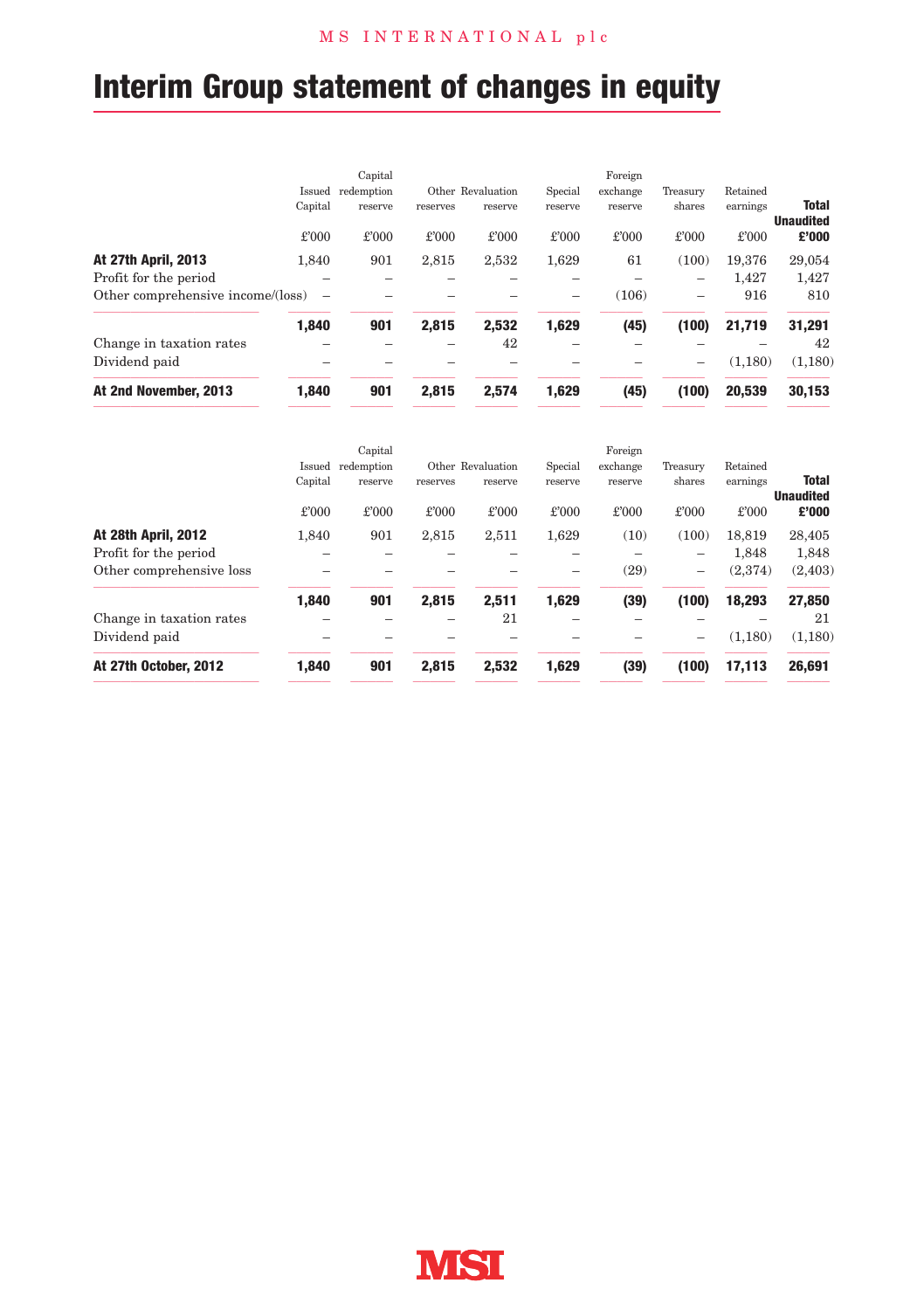# **Interim Group statement of changes in equity**

|                                                               | Capital    |          |                   |         | Foreign  |          |          |                                  |
|---------------------------------------------------------------|------------|----------|-------------------|---------|----------|----------|----------|----------------------------------|
| Issued                                                        | redemption |          | Other Revaluation | Special | exchange | Treasury | Retained |                                  |
| Capital                                                       | reserve    | reserves | reserve           | reserve | reserve  | shares   | earnings | <b>Total</b><br><b>Unaudited</b> |
| £'000                                                         | £'000      | £'000    | £'000             | £'000   | £'000    | £'000    | £'000    | £'000                            |
| <b>At 27th April, 2013</b><br>1.840                           | 901        | 2,815    | 2,532             | 1.629   | 61       | (100)    | 19.376   | 29,054                           |
| Profit for the period                                         |            |          |                   |         |          | -        | 1.427    | 1.427                            |
| Other comprehensive income/(loss)<br>$\overline{\phantom{0}}$ |            |          |                   |         | (106)    | -        | 916      | 810                              |
| 1,840                                                         | 901        | 2,815    | 2,532             | 1,629   | (45)     | (100)    | 21,719   | 31,291                           |
| Change in taxation rates                                      |            |          | 42                |         |          |          |          | 42                               |
| Dividend paid                                                 |            |          |                   |         |          | -        | (1.180)  | (1,180)                          |
| At 2nd November, 2013<br>1.840                                | 901        | 2.815    | 2.574             | 1,629   | (45)     | (100)    | 20.539   | 30,153                           |

|                            |         | Capital    |          |                   |         | Foreign  |          |          |                                  |
|----------------------------|---------|------------|----------|-------------------|---------|----------|----------|----------|----------------------------------|
|                            | Issued  | redemption |          | Other Revaluation | Special | exchange | Treasury | Retained |                                  |
|                            | Capital | reserve    | reserves | reserve           | reserve | reserve  | shares   | earnings | <b>Total</b><br><b>Unaudited</b> |
|                            | £'000   | £'000      | £'000    | £'000             | £'000   | £'000    | £'000    | £'000    | £'000                            |
| <b>At 28th April, 2012</b> | 1.840   | 901        | 2,815    | 2,511             | 1,629   | (10)     | (100)    | 18.819   | 28,405                           |
| Profit for the period      |         |            |          |                   |         |          |          | 1,848    | 1,848                            |
| Other comprehensive loss   |         |            |          |                   |         | (29)     | -        | (2,374)  | (2, 403)                         |
|                            | 1,840   | 901        | 2.815    | 2.511             | 1,629   | (39)     | (100)    | 18,293   | 27,850                           |
| Change in taxation rates   |         |            |          | 21                |         |          |          |          | 21                               |
| Dividend paid              |         |            |          |                   |         |          | -        | (1.180)  | (1,180)                          |
| At 27th October, 2012      | 1.840   | 901        | 2.815    | 2.532             | 1,629   | (39)     | (100)    | 17.113   | 26,691                           |

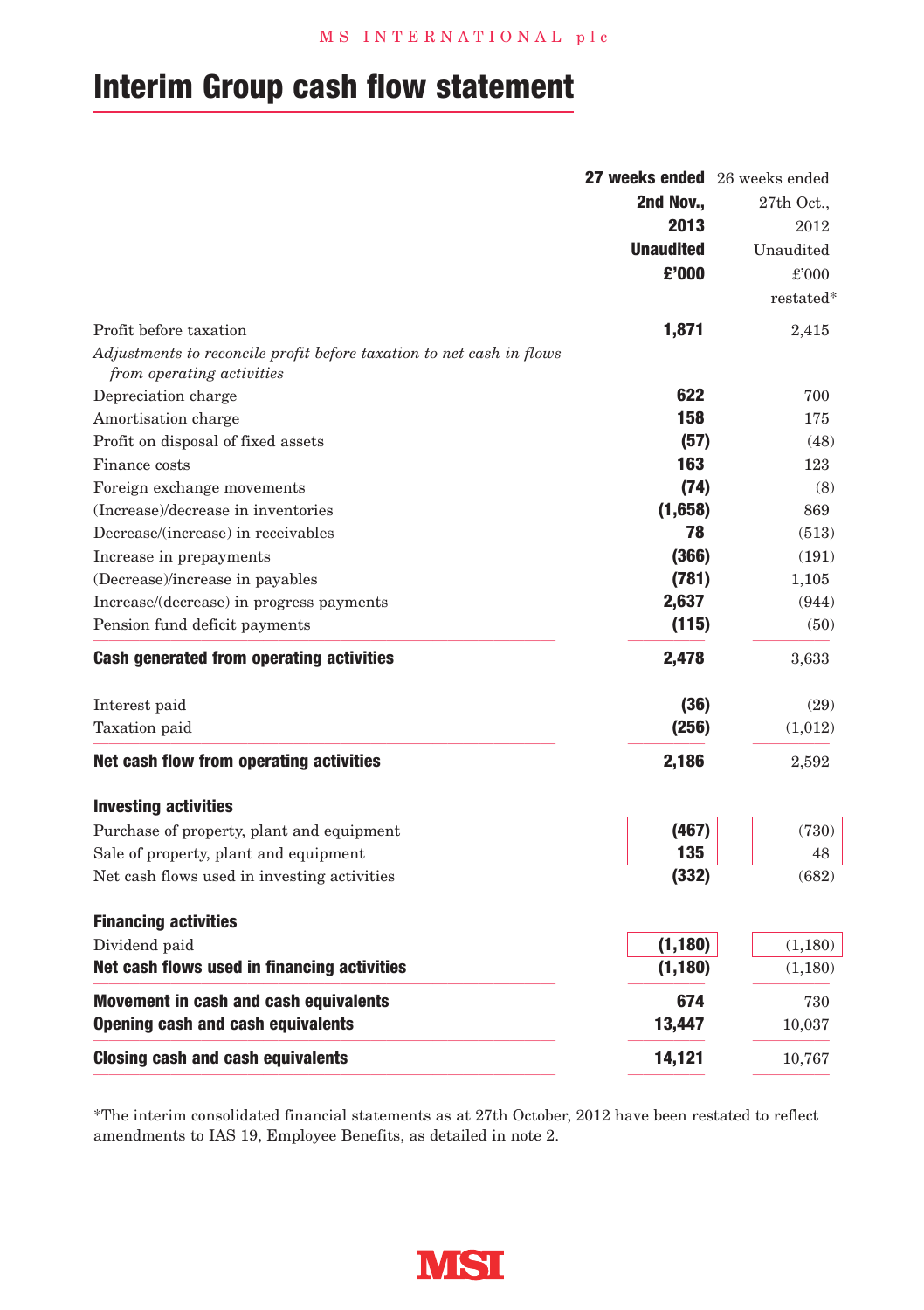## **Interim Group cash flow statement**

|                                                                      | 27 weeks ended 26 weeks ended |           |
|----------------------------------------------------------------------|-------------------------------|-----------|
|                                                                      | 2nd Nov                       | 27th Oct  |
|                                                                      | 2013                          | 2012      |
|                                                                      | <b>Unaudited</b>              | Unaudited |
|                                                                      | £'000                         | £'000     |
|                                                                      |                               | restated* |
| Profit before taxation                                               | 1,871                         | 2,415     |
| Adjustments to reconcile profit before taxation to net cash in flows |                               |           |
| from operating activities                                            |                               |           |
| Depreciation charge                                                  | 622                           | 700       |
| Amortisation charge                                                  | 158                           | 175       |
| Profit on disposal of fixed assets                                   | (57)                          | (48)      |
| Finance costs                                                        | 163                           | 123       |
| Foreign exchange movements                                           | (74)                          | (8)       |
| (Increase)/decrease in inventories                                   | (1,658)                       | 869       |
| Decrease/(increase) in receivables                                   | 78                            | (513)     |
| Increase in prepayments                                              | (366)                         | (191)     |
| (Decrease)/increase in payables                                      | (781)                         | 1,105     |
| Increase/(decrease) in progress payments                             | 2,637                         | (944)     |
| Pension fund deficit payments                                        | (115)                         | (50)      |
| <b>Cash generated from operating activities</b>                      | 2,478                         | 3,633     |
| Interest paid                                                        | (36)                          | (29)      |
| Taxation paid                                                        | (256)                         | (1,012)   |
| Net cash flow from operating activities                              | 2,186                         | 2,592     |
| <b>Investing activities</b>                                          |                               |           |
| Purchase of property, plant and equipment                            | (467)                         | (730)     |
| Sale of property, plant and equipment                                | 135                           | 48        |
| Net cash flows used in investing activities                          | (332)                         | (682)     |
| <b>Financing activities</b>                                          |                               |           |
| Dividend paid                                                        | (1, 180)                      | (1,180)   |
| Net cash flows used in financing activities                          | (1, 180)                      | (1,180)   |
| Movement in cash and cash equivalents                                | 674                           | 730       |
| <b>Opening cash and cash equivalents</b>                             | 13,447                        | 10,037    |
| <b>Closing cash and cash equivalents</b>                             | 14,121                        | 10,767    |

\*The interim consolidated financial statements as at 27th October, 2012 have been restated to reflect amendments to IAS 19, Employee Benefits, as detailed in note 2.

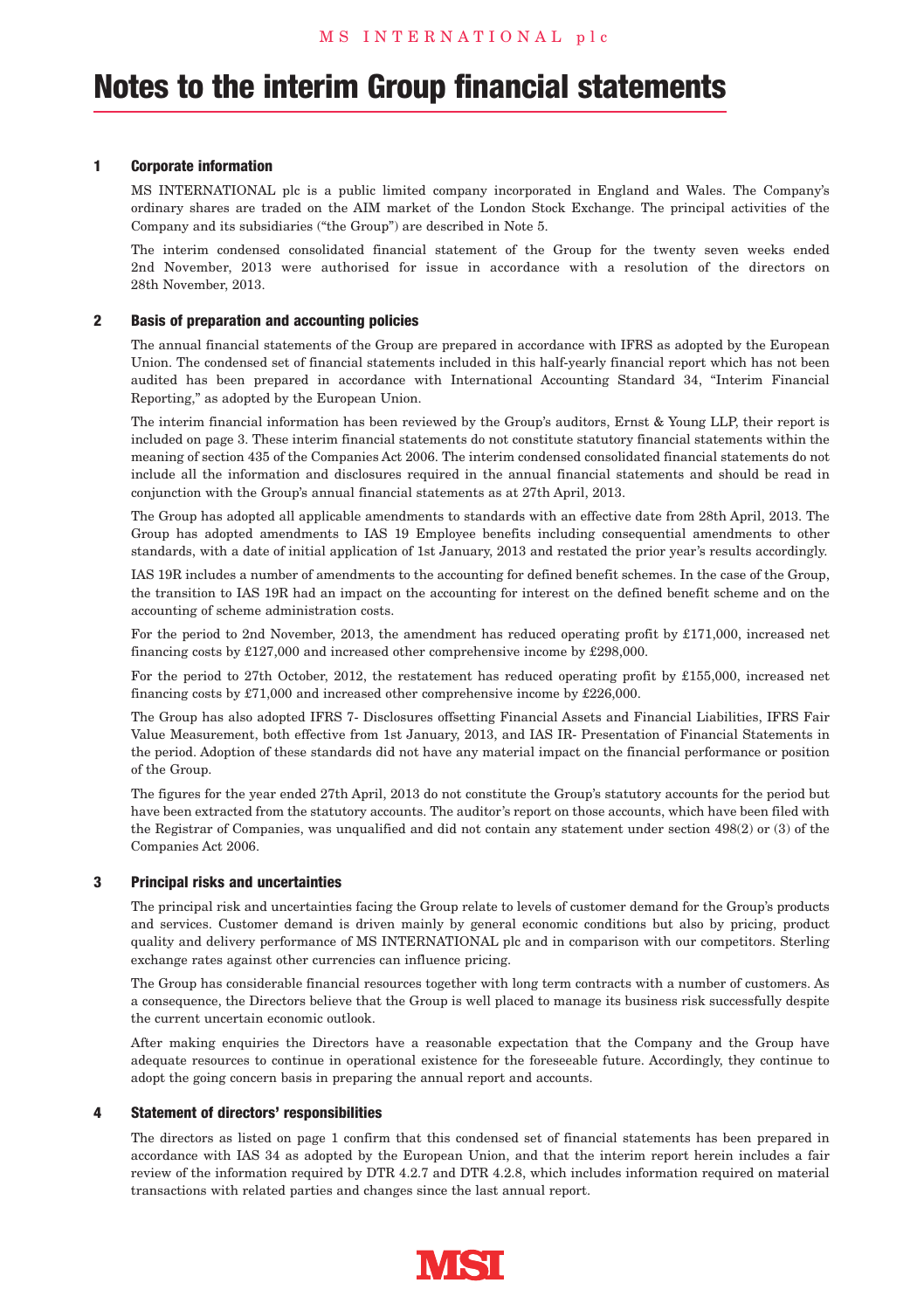#### **1 Corporate information**

MS INTERNATIONAL plc is a public limited company incorporated in England and Wales. The Company's ordinary shares are traded on the AIM market of the London Stock Exchange. The principal activities of the Company and its subsidiaries ("the Group") are described in Note 5.

The interim condensed consolidated financial statement of the Group for the twenty seven weeks ended 2nd November, 2013 were authorised for issue in accordance with a resolution of the directors on 28th November, 2013.

#### **2 Basis of preparation and accounting policies**

The annual financial statements of the Group are prepared in accordance with IFRS as adopted by the European Union. The condensed set of financial statements included in this half-yearly financial report which has not been audited has been prepared in accordance with International Accounting Standard 34, "Interim Financial Reporting," as adopted by the European Union.

The interim financial information has been reviewed by the Group's auditors, Ernst & Young LLP, their report is included on page 3. These interim financial statements do not constitute statutory financial statements within the meaning of section 435 of the Companies Act 2006. The interim condensed consolidated financial statements do not include all the information and disclosures required in the annual financial statements and should be read in conjunction with the Group's annual financial statements as at 27th April, 2013.

The Group has adopted all applicable amendments to standards with an effective date from 28th April, 2013. The Group has adopted amendments to IAS 19 Employee benefits including consequential amendments to other standards, with a date of initial application of 1st January, 2013 and restated the prior year's results accordingly.

IAS 19R includes a number of amendments to the accounting for defined benefit schemes. In the case of the Group, the transition to IAS 19R had an impact on the accounting for interest on the defined benefit scheme and on the accounting of scheme administration costs.

For the period to 2nd November, 2013, the amendment has reduced operating profit by £171,000, increased net financing costs by £127,000 and increased other comprehensive income by £298,000.

For the period to 27th October, 2012, the restatement has reduced operating profit by £155,000, increased net financing costs by £71,000 and increased other comprehensive income by £226,000.

The Group has also adopted IFRS 7- Disclosures offsetting Financial Assets and Financial Liabilities, IFRS Fair Value Measurement, both effective from 1st January, 2013, and IAS IR- Presentation of Financial Statements in the period. Adoption of these standards did not have any material impact on the financial performance or position of the Group.

The figures for the year ended 27th April, 2013 do not constitute the Group's statutory accounts for the period but have been extracted from the statutory accounts. The auditor's report on those accounts, which have been filed with the Registrar of Companies, was unqualified and did not contain any statement under section 498(2) or (3) of the Companies Act 2006.

#### **3 Principal risks and uncertainties**

The principal risk and uncertainties facing the Group relate to levels of customer demand for the Group's products and services. Customer demand is driven mainly by general economic conditions but also by pricing, product quality and delivery performance of MS INTERNATIONAL plc and in comparison with our competitors. Sterling exchange rates against other currencies can influence pricing.

The Group has considerable financial resources together with long term contracts with a number of customers. As a consequence, the Directors believe that the Group is well placed to manage its business risk successfully despite the current uncertain economic outlook.

After making enquiries the Directors have a reasonable expectation that the Company and the Group have adequate resources to continue in operational existence for the foreseeable future. Accordingly, they continue to adopt the going concern basis in preparing the annual report and accounts.

#### **4 Statement of directors' responsibilities**

The directors as listed on page 1 confirm that this condensed set of financial statements has been prepared in accordance with IAS 34 as adopted by the European Union, and that the interim report herein includes a fair review of the information required by DTR 4.2.7 and DTR 4.2.8, which includes information required on material transactions with related parties and changes since the last annual report.

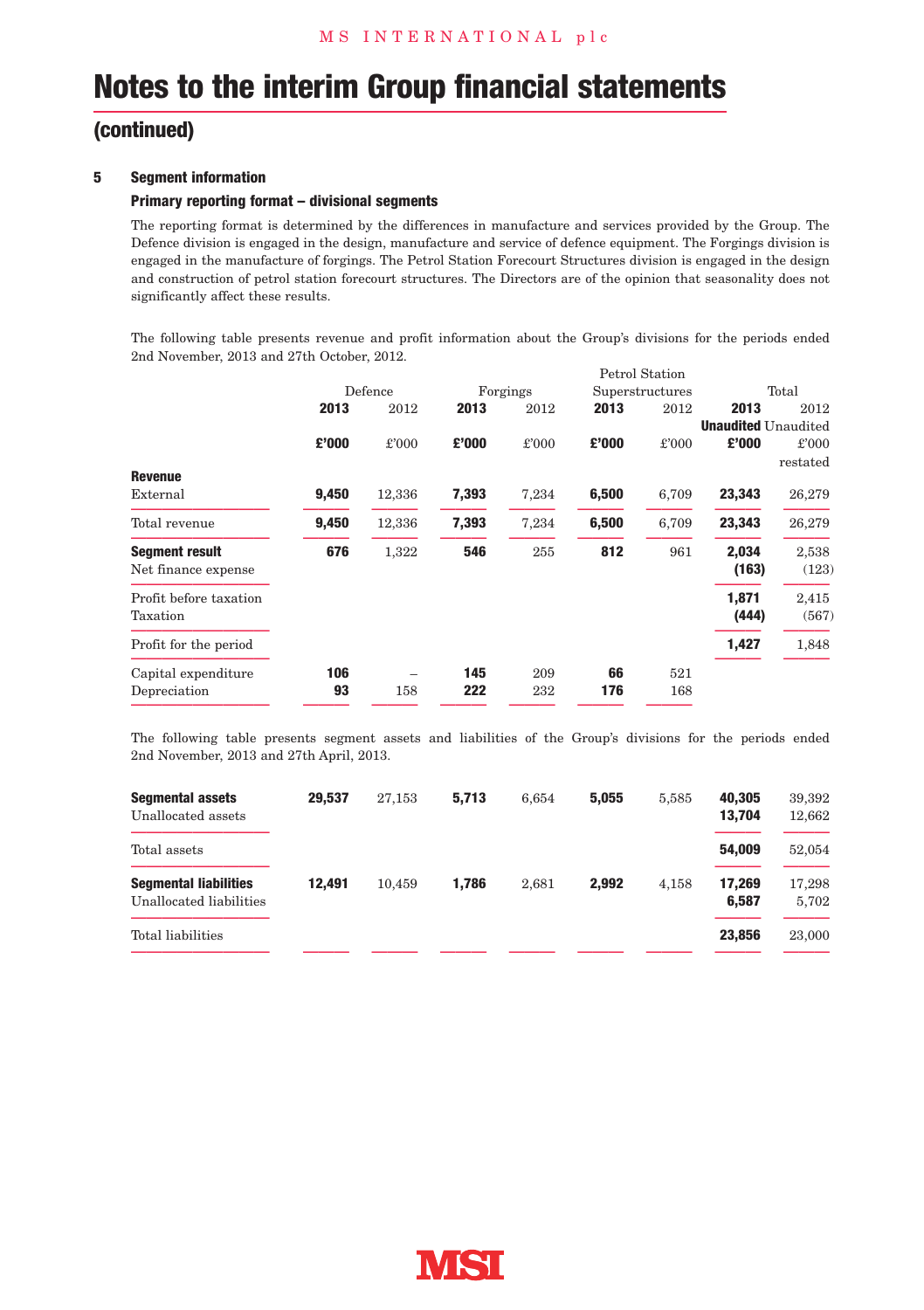### **(continued)**

#### **5 Segment information**

#### **Primary reporting format – divisional segments**

The reporting format is determined by the differences in manufacture and services provided by the Group. The Defence division is engaged in the design, manufacture and service of defence equipment. The Forgings division is engaged in the manufacture of forgings. The Petrol Station Forecourt Structures division is engaged in the design and construction of petrol station forecourt structures. The Directors are of the opinion that seasonality does not significantly affect these results.

The following table presents revenue and profit information about the Group's divisions for the periods ended 2nd November, 2013 and 27th October, 2012.

|                        | Defence |        | Forgings |       | Superstructures |       | Total                      |          |
|------------------------|---------|--------|----------|-------|-----------------|-------|----------------------------|----------|
|                        | 2013    | 2012   | 2013     | 2012  | 2013            | 2012  | 2013                       | 2012     |
|                        |         |        |          |       |                 |       | <b>Unaudited</b> Unaudited |          |
|                        | £'000   | £'000  | £'000    | £'000 | £'000           | £'000 | £'000                      | £'000    |
|                        |         |        |          |       |                 |       |                            | restated |
| <b>Revenue</b>         |         |        |          |       |                 |       |                            |          |
| External               | 9,450   | 12,336 | 7,393    | 7,234 | 6,500           | 6,709 | 23,343                     | 26,279   |
| Total revenue          | 9,450   | 12,336 | 7,393    | 7,234 | 6,500           | 6,709 | 23.343                     | 26,279   |
| <b>Segment result</b>  | 676     | 1,322  | 546      | 255   | 812             | 961   | 2.034                      | 2,538    |
| Net finance expense    |         |        |          |       |                 |       | (163)                      | (123)    |
| Profit before taxation |         |        |          |       |                 |       | 1,871                      | 2,415    |
| Taxation               |         |        |          |       |                 |       | (444)                      | (567)    |
| Profit for the period  |         |        |          |       |                 |       | 1,427                      | 1,848    |
|                        |         |        |          |       |                 |       |                            |          |
| Capital expenditure    | 106     |        | 145      | 209   | 66              | 521   |                            |          |
| Depreciation           | 93      | 158    | 222      | 232   | 176             | 168   |                            |          |

The following table presents segment assets and liabilities of the Group's divisions for the periods ended 2nd November, 2013 and 27th April, 2013.

| <b>Segmental assets</b><br>Unallocated assets           | 29.537 | 27.153 | 5.713 | 6.654 | 5.055 | 5.585 | 40.305<br>13.704 | 39,392<br>12.662 |
|---------------------------------------------------------|--------|--------|-------|-------|-------|-------|------------------|------------------|
| Total assets                                            |        |        |       |       |       |       | 54.009           | 52.054           |
| <b>Segmental liabilities</b><br>Unallocated liabilities | 12.491 | 10.459 | 1.786 | 2.681 | 2.992 | 4.158 | 17.269<br>6.587  | 17,298<br>5.702  |
| Total liabilities                                       |        |        |       |       |       |       | 23.856           | 23,000           |

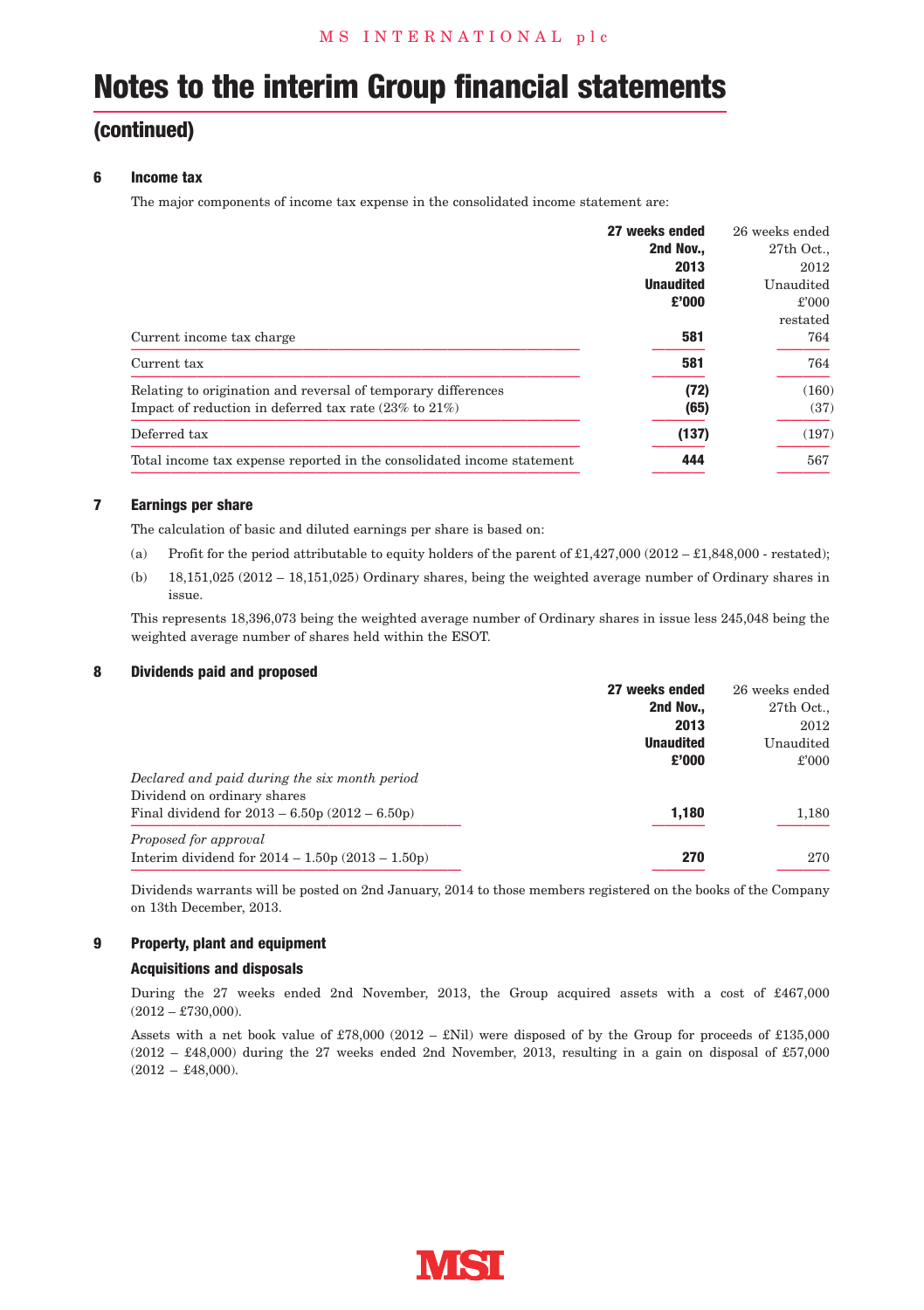### **(continued)**

#### **6 Income tax**

The major components of income tax expense in the consolidated income statement are:

|                                                                                                                              | 27 weeks ended<br>2nd Nov<br>2013 | 26 weeks ended<br>27th Oct<br>2012 |
|------------------------------------------------------------------------------------------------------------------------------|-----------------------------------|------------------------------------|
|                                                                                                                              | <b>Unaudited</b><br>£'000         | Unaudited<br>£'000<br>restated     |
| Current income tax charge                                                                                                    | 581                               | 764                                |
| Current tax                                                                                                                  | 581                               | 764                                |
| Relating to origination and reversal of temporary differences<br>Impact of reduction in deferred tax rate $(23\%$ to $21\%)$ | (72)<br>(65)                      | (160)<br>(37)                      |
| Deferred tax                                                                                                                 | (137)                             | (197)                              |
| Total income tax expense reported in the consolidated income statement                                                       | 444                               | 567                                |

#### **7 Earnings per share**

The calculation of basic and diluted earnings per share is based on:

- (a) Profit for the period attributable to equity holders of the parent of  $\pounds1.427,000$  (2012  $\pounds1.848,000$  restated);
- (b) 18,151,025 (2012 18,151,025) Ordinary shares, being the weighted average number of Ordinary shares in issue.

This represents 18,396,073 being the weighted average number of Ordinary shares in issue less 245,048 being the weighted average number of shares held within the ESOT.

#### **8 Dividends paid and proposed**

|                                                   | 27 weeks ended   | 26 weeks ended |
|---------------------------------------------------|------------------|----------------|
|                                                   | 2nd Nov          | 27th Oct.,     |
|                                                   | 2013             | 2012           |
|                                                   | <b>Unaudited</b> | Unaudited      |
|                                                   | £'000            | £'000          |
| Declared and paid during the six month period     |                  |                |
| Dividend on ordinary shares                       |                  |                |
| Final dividend for $2013 - 6.50p(2012 - 6.50p)$   | 1.180            | 1,180          |
| Proposed for approval                             |                  |                |
| Interim dividend for $2014 - 1.50p(2013 - 1.50p)$ | 270              | 270            |
|                                                   |                  |                |

Dividends warrants will be posted on 2nd January, 2014 to those members registered on the books of the Company on 13th December, 2013.

#### **9 Property, plant and equipment**

#### **Acquisitions and disposals**

During the 27 weeks ended 2nd November, 2013, the Group acquired assets with a cost of £467,000  $(2012 - \text{\pounds}730,000).$ 

Assets with a net book value of £78,000 (2012 – £Nil) were disposed of by the Group for proceeds of £135,000  $(2012 - \text{\textsterling}48,000)$  during the 27 weeks ended 2nd November, 2013, resulting in a gain on disposal of £57,000  $(2012 - \text{\pounds}48,000).$ 

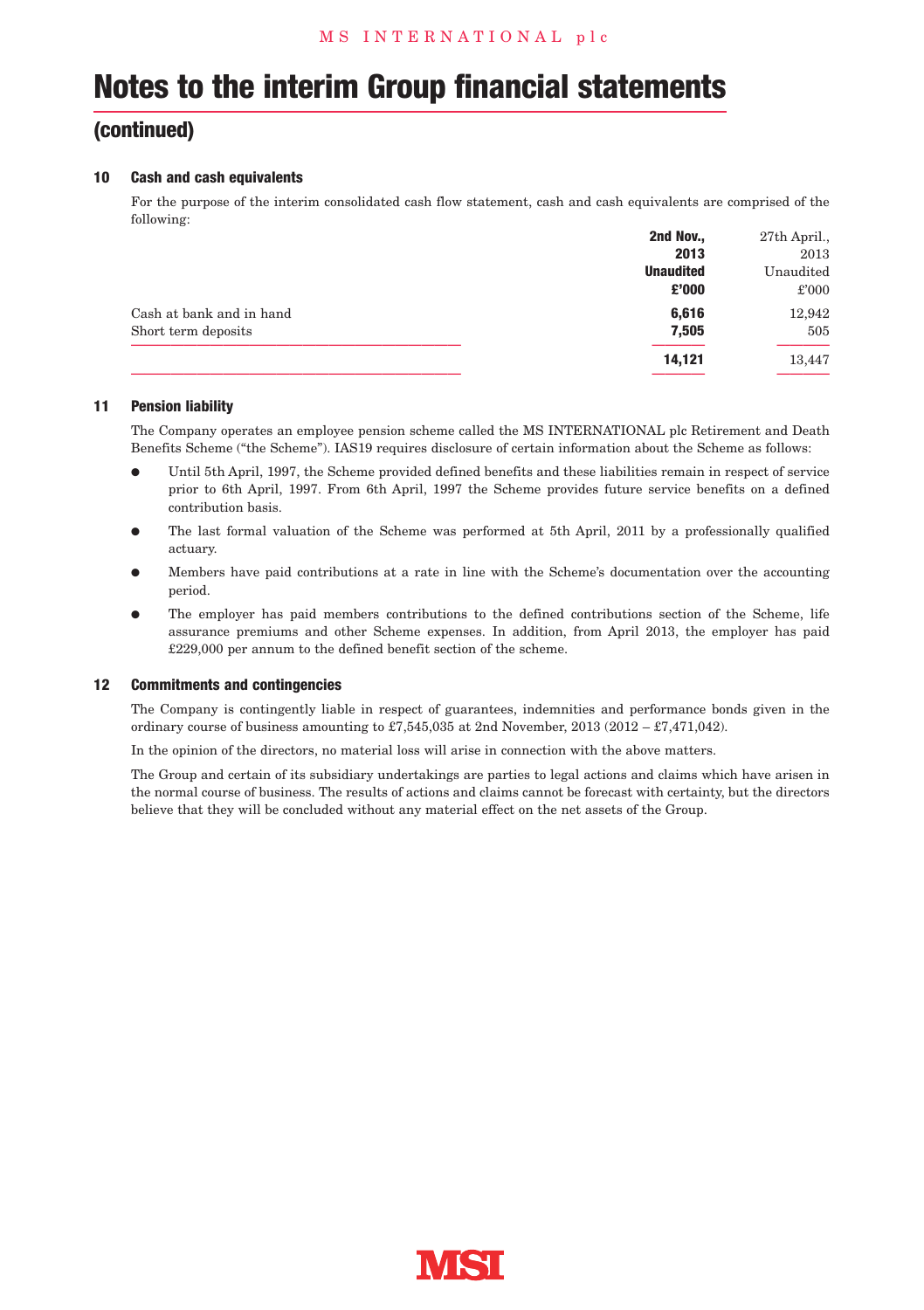### **(continued)**

#### **10 Cash and cash equivalents**

For the purpose of the interim consolidated cash flow statement, cash and cash equivalents are comprised of the following:

|                          | 2nd Nov.,        | 27th April., |
|--------------------------|------------------|--------------|
|                          | 2013             | 2013         |
|                          | <b>Unaudited</b> | Unaudited    |
|                          | £'000            | £'000        |
| Cash at bank and in hand | 6.616            | 12,942       |
| Short term deposits      | 7.505            | 505          |
|                          | 14,121           | 13,447       |
|                          |                  |              |

#### **11 Pension liability**

The Company operates an employee pension scheme called the MS INTERNATIONAL plc Retirement and Death Benefits Scheme ("the Scheme"). IAS19 requires disclosure of certain information about the Scheme as follows:

- l Until 5th April, 1997, the Scheme provided defined benefits and these liabilities remain in respect of service prior to 6th April, 1997. From 6th April, 1997 the Scheme provides future service benefits on a defined contribution basis.
- The last formal valuation of the Scheme was performed at 5th April, 2011 by a professionally qualified actuary.
- l Members have paid contributions at a rate in line with the Scheme's documentation over the accounting period.
- The employer has paid members contributions to the defined contributions section of the Scheme, life assurance premiums and other Scheme expenses. In addition, from April 2013, the employer has paid £229,000 per annum to the defined benefit section of the scheme.

#### **12 Commitments and contingencies**

The Company is contingently liable in respect of guarantees, indemnities and performance bonds given in the ordinary course of business amounting to £7,545,035 at 2nd November, 2013 (2012 – £7,471,042).

In the opinion of the directors, no material loss will arise in connection with the above matters.

The Group and certain of its subsidiary undertakings are parties to legal actions and claims which have arisen in the normal course of business. The results of actions and claims cannot be forecast with certainty, but the directors believe that they will be concluded without any material effect on the net assets of the Group.